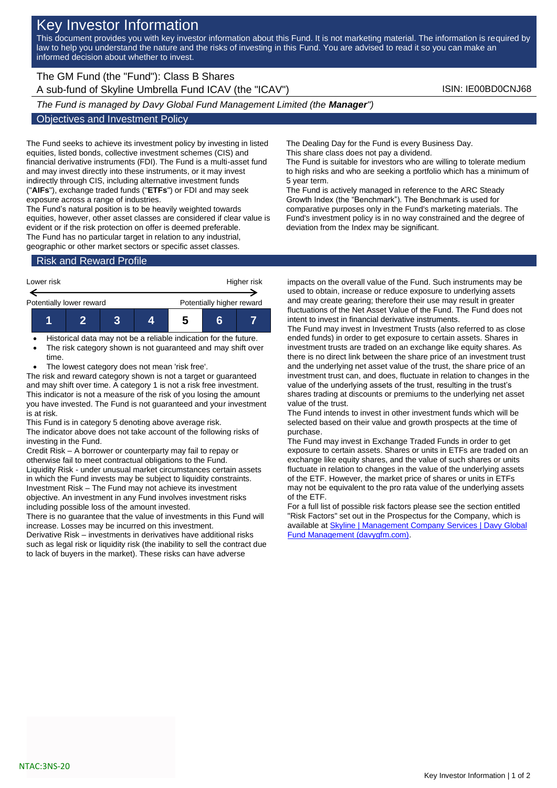## Key Investor Information

This document provides you with key investor information about this Fund. It is not marketing material. The information is required by law to help you understand the nature and the risks of investing in this Fund. You are advised to read it so you can make an informed decision about whether to invest.

The GM Fund (the "Fund"): Class B Shares A sub-fund of Skyline Umbrella Fund ICAV (the "ICAV") ISIN: IE00BD0CNJ68

*The Fund is managed by Davy Global Fund Management Limited (the Manager")*

## Objectives and Investment Policy

The Fund seeks to achieve its investment policy by investing in listed equities, listed bonds, collective investment schemes (CIS) and financial derivative instruments (FDI). The Fund is a multi-asset fund and may invest directly into these instruments, or it may invest indirectly through CIS, including alternative investment funds ("**AIFs**"), exchange traded funds ("**ETFs**") or FDI and may seek exposure across a range of industries.

The Fund's natural position is to be heavily weighted towards equities, however, other asset classes are considered if clear value is evident or if the risk protection on offer is deemed preferable. The Fund has no particular target in relation to any industrial, geographic or other market sectors or specific asset classes.

Risk and Reward Profile

| Lower risk               |  |  | Higher risk |                           |  |  |
|--------------------------|--|--|-------------|---------------------------|--|--|
| Potentially lower reward |  |  |             | Potentially higher reward |  |  |
|                          |  |  |             | ŋ                         |  |  |

- Historical data may not be a reliable indication for the future.
- The risk category shown is not guaranteed and may shift over time.
- The lowest category does not mean 'risk free'.

The risk and reward category shown is not a target or guaranteed and may shift over time. A category 1 is not a risk free investment. This indicator is not a measure of the risk of you losing the amount you have invested. The Fund is not guaranteed and your investment is at risk.

This Fund is in category 5 denoting above average risk.

The indicator above does not take account of the following risks of investing in the Fund.

Credit Risk – A borrower or counterparty may fail to repay or otherwise fail to meet contractual obligations to the Fund. Liquidity Risk - under unusual market circumstances certain assets in which the Fund invests may be subject to liquidity constraints. Investment Risk – The Fund may not achieve its investment objective. An investment in any Fund involves investment risks including possible loss of the amount invested.

There is no guarantee that the value of investments in this Fund will increase. Losses may be incurred on this investment.

Derivative Risk – investments in derivatives have additional risks such as legal risk or liquidity risk (the inability to sell the contract due to lack of buyers in the market). These risks can have adverse

The Dealing Day for the Fund is every Business Day.

This share class does not pay a dividend.

The Fund is suitable for investors who are willing to tolerate medium to high risks and who are seeking a portfolio which has a minimum of 5 year term.

The Fund is actively managed in reference to the ARC Steady Growth Index (the "Benchmark"). The Benchmark is used for comparative purposes only in the Fund's marketing materials. The Fund's investment policy is in no way constrained and the degree of deviation from the Index may be significant.

impacts on the overall value of the Fund. Such instruments may be used to obtain, increase or reduce exposure to underlying assets and may create gearing; therefore their use may result in greater fluctuations of the Net Asset Value of the Fund. The Fund does not intent to invest in financial derivative instruments.

The Fund may invest in Investment Trusts (also referred to as close ended funds) in order to get exposure to certain assets. Shares in investment trusts are traded on an exchange like equity shares. As there is no direct link between the share price of an investment trust and the underlying net asset value of the trust, the share price of an investment trust can, and does, fluctuate in relation to changes in the value of the underlying assets of the trust, resulting in the trust's shares trading at discounts or premiums to the underlying net asset value of the trust.

The Fund intends to invest in other investment funds which will be selected based on their value and growth prospects at the time of purchase.

The Fund may invest in Exchange Traded Funds in order to get exposure to certain assets. Shares or units in ETFs are traded on an exchange like equity shares, and the value of such shares or units fluctuate in relation to changes in the value of the underlying assets of the ETF. However, the market price of shares or units in ETFs may not be equivalent to the pro rata value of the underlying assets of the ETF.

For a full list of possible risk factors please see the section entitled "Risk Factors" set out in the Prospectus for the Company, which is available a[t Skyline | Management Company Services | Davy Global](https://www.davygfm.com/funds-factsheets/management-company-services/ireland/skyline.html)  [Fund Management \(davygfm.com\).](https://www.davygfm.com/funds-factsheets/management-company-services/ireland/skyline.html)